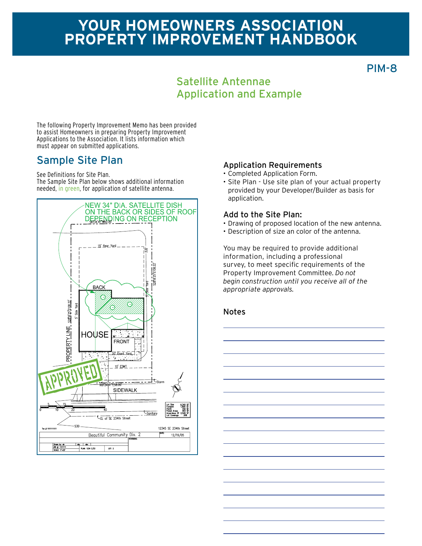# **Your homeowners association Property improvement Handbook**

PIM-8

#### Satellite Antennae Application and Example

The following Property Improvement Memo has been provided to assist Homeowners in preparing Property Improvement Applications to the Association. It lists information which must appear on submitted applications.

## Sample Site Plan Application Requirements

See Definitions for Site Plan.

The Sample Site Plan below shows additional information needed, in green, for application of satellite antenna.



- • Completed Application Form.
- • Site Plan Use site plan of your actual property provided by your Developer/Builder as basis for application.

#### Add to the Site Plan:

- • Drawing of proposed location of the new antenna.
- • Description of size an color of the antenna.

You may be required to provide additional information, including a professional survey, to meet specific requirements of the Property Improvement Committee. *Do not begin construction until you receive all of the appropriate approvals.*

#### Notes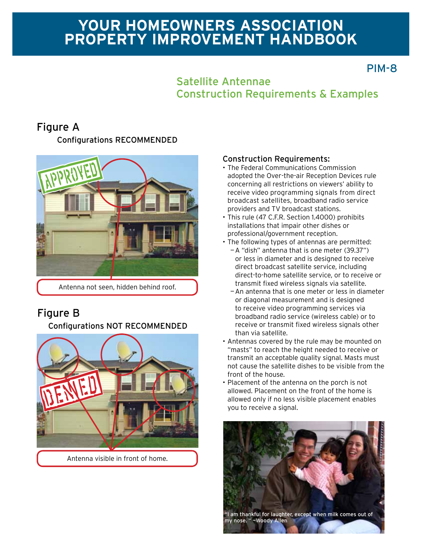# **Your homeowners association Property improvement Handbook**

## PIM-8

#### Satellite Antennae Construction Requirements & Examples

### Figure A

Configurations RECOMMENDED



Antenna not seen, hidden behind roof.

## Figure B

#### Configurations NOT RECOMMENDED



#### Construction Requirements:

- • The Federal Communications Commission adopted the Over-the-air Reception Devices rule concerning all restrictions on viewers' ability to receive video programming signals from direct broadcast satellites, broadband radio service providers and TV broadcast stations.
- This rule (47 C.F.R. Section 1.4000) prohibits installations that impair other dishes or professional/government reception.
- The following types of antennas are permitted:
	- —A "dish" antenna that is one meter (39.37") or less in diameter and is designed to receive direct broadcast satellite service, including direct-to-home satellite service, or to receive or transmit fixed wireless signals via satellite.
	- —An antenna that is one meter or less in diameter or diagonal measurement and is designed to receive video programming services via broadband radio service (wireless cable) or to receive or transmit fixed wireless signals other than via satellite.
- Antennas covered by the rule may be mounted on "masts" to reach the height needed to receive or transmit an acceptable quality signal. Masts must not cause the satellite dishes to be visible from the front of the house.
- Placement of the antenna on the porch is not allowed. Placement on the front of the home is allowed only if no less visible placement enables you to receive a signal.